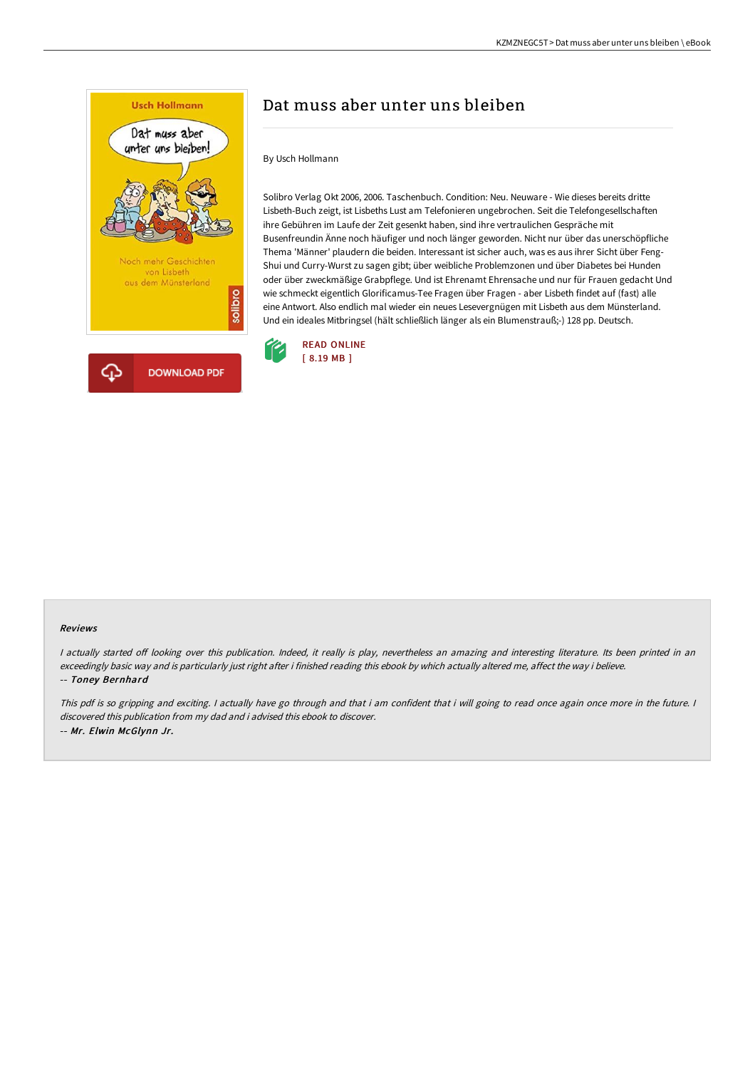

# Dat muss aber unter uns bleiben

#### By Usch Hollmann

Solibro Verlag Okt 2006, 2006. Taschenbuch. Condition: Neu. Neuware - Wie dieses bereits dritte Lisbeth-Buch zeigt, ist Lisbeths Lust am Telefonieren ungebrochen. Seit die Telefongesellschaften ihre Gebühren im Laufe der Zeit gesenkt haben, sind ihre vertraulichen Gespräche mit Busenfreundin Änne noch häufiger und noch länger geworden. Nicht nur über das unerschöpfliche Thema 'Männer' plaudern die beiden. Interessant ist sicher auch, was es aus ihrer Sicht über Feng-Shui und Curry-Wurst zu sagen gibt; über weibliche Problemzonen und über Diabetes bei Hunden oder über zweckmäßige Grabpflege. Und ist Ehrenamt Ehrensache und nur für Frauen gedacht Und wie schmeckt eigentlich Glorificamus-Tee Fragen über Fragen - aber Lisbeth findet auf (fast) alle eine Antwort. Also endlich mal wieder ein neues Lesevergnügen mit Lisbeth aus dem Münsterland. Und ein ideales Mitbringsel (hält schließlich länger als ein Blumenstrauß;-) 128 pp. Deutsch.



#### Reviews

I actually started off looking over this publication. Indeed, it really is play, nevertheless an amazing and interesting literature. Its been printed in an exceedingly basic way and is particularly just right after i finished reading this ebook by which actually altered me, affect the way i believe. -- Toney Bernhard

This pdf is so gripping and exciting. I actually have go through and that i am confident that i will going to read once again once more in the future. I discovered this publication from my dad and i advised this ebook to discover. -- Mr. Elwin McGlynn Jr.